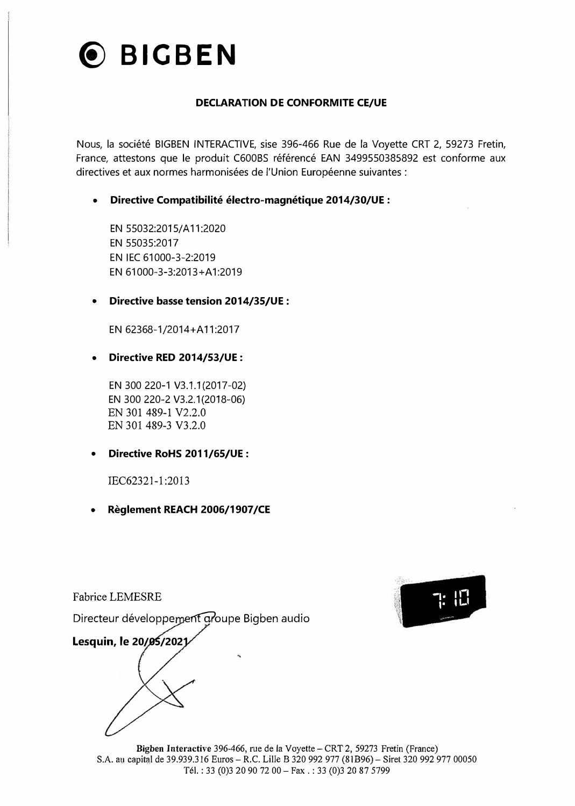

#### **DECLARATION DE CONFORMITE CE/UE**

Nous, la société BIGBEN INTERACTIVE, sise 396-466 Rue de la Voyette CRT 2, 59273 Fretin, France, attestons que le produit C600BS référencé EAN 3499550385892 est conforme aux directives et aux normes harmonisées de l'Union Européenne suivantes:

**• Directive Compatibilité électro-magnétique 2014/30/UE:**

EN 55032:2015/ A 11 :2020 EN 55035:2017 EN IEC 61000-3-2:2019 EN 61000-3-3:2013+A 1 :2019

#### **• Directive basse tension 2014/35/UE:**

EN 62368-1/2014+A11:2017

**• Directive RED 2014/53/UE :**

EN 300 220-1 V3.1.1 (2017-02) EN 300 220-2 V3.2.1(2018-06) EN 301 489-1 V2.2.0 EN 301 489-3 V3.2.0

**• Directive RoHS 2011/65/UE :**

IEC62321-1 :2013

**• Règlement REACH 2006/1907/CE**



Fabrice LEMESRE

Directeur développement groupe Bigben audio

**Lesquin, le 20/05/2021** 

**Bigben Interactive** 396-466, rue de la Voyette-CRT 2, 59273 Fretin (France) S.A. au capital de 39.939.316 Euros - R.C. Lille B 320 992 977 (81B96)- Siret 320 992 977 00050 Tél. : 33 (0)3 20 90 72 00 - Fax . : 33 (0)3 20 87 5799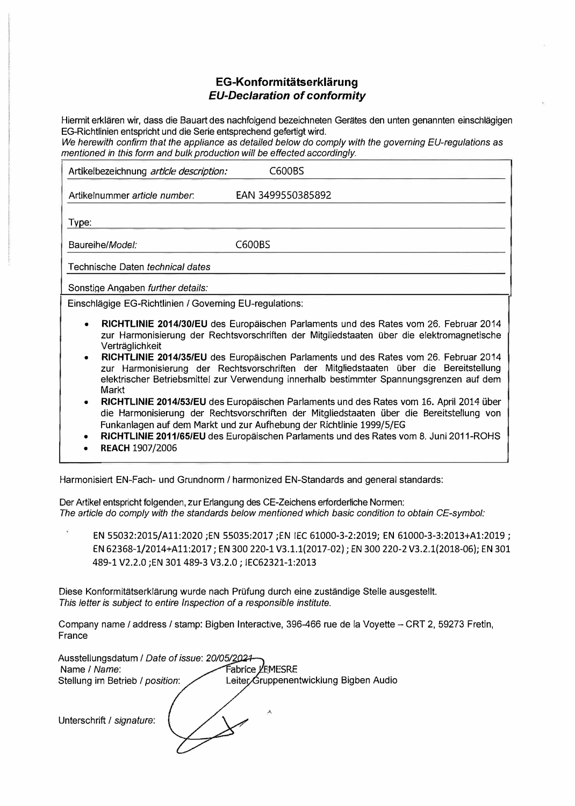#### **EG-Konformitatserklarung**  *EU-Declaration of conformity*

Hiermit erklaren wir, dass die Bauart des nachfolgend bezeichneten Gerates den unten genannten einschlagigen EG-Richtlinien entspricht und die Serie entsprechend gefertigt wird.

*We herewith confirm that the appliance as detailed below do camp/y with the governing EU-regulations as*  mentioned in this form and bulk production will be effected accordingly.

| Artikelbezeichnung article description:                                                                                                                                                                                                                                                                                                                                                                                                                                                                                                                                                                                                                                                                                                                                                                                                                                                                 | C600BS            |  |
|---------------------------------------------------------------------------------------------------------------------------------------------------------------------------------------------------------------------------------------------------------------------------------------------------------------------------------------------------------------------------------------------------------------------------------------------------------------------------------------------------------------------------------------------------------------------------------------------------------------------------------------------------------------------------------------------------------------------------------------------------------------------------------------------------------------------------------------------------------------------------------------------------------|-------------------|--|
| Artikelnummer article number.                                                                                                                                                                                                                                                                                                                                                                                                                                                                                                                                                                                                                                                                                                                                                                                                                                                                           | EAN 3499550385892 |  |
| Type:                                                                                                                                                                                                                                                                                                                                                                                                                                                                                                                                                                                                                                                                                                                                                                                                                                                                                                   |                   |  |
| Baureihe/Model:                                                                                                                                                                                                                                                                                                                                                                                                                                                                                                                                                                                                                                                                                                                                                                                                                                                                                         | C600BS            |  |
| Technische Daten <i>technical dates</i>                                                                                                                                                                                                                                                                                                                                                                                                                                                                                                                                                                                                                                                                                                                                                                                                                                                                 |                   |  |
| Sonstige Angaben further details:                                                                                                                                                                                                                                                                                                                                                                                                                                                                                                                                                                                                                                                                                                                                                                                                                                                                       |                   |  |
| Einschlägige EG-Richtlinien / Governing EU-regulations:                                                                                                                                                                                                                                                                                                                                                                                                                                                                                                                                                                                                                                                                                                                                                                                                                                                 |                   |  |
| RICHTLINIE 2014/30/EU des Europäischen Parlaments und des Rates vom 26. Februar 2014<br>$\bullet$<br>zur Harmonisierung der Rechtsvorschriften der Mitgliedstaaten über die elektromagnetische<br>Verträglichkeit<br>RICHTLINIE 2014/35/EU des Europäischen Parlaments und des Rates vom 26. Februar 2014<br>zur Harmonisierung der Rechtsvorschriften der Mitgliedstaaten über die Bereitstellung<br>elektrischer Betriebsmittel zur Verwendung innerhalb bestimmter Spannungsgrenzen auf dem<br>Markt<br>RICHTLINIE 2014/53/EU des Europäischen Parlaments und des Rates vom 16. April 2014 über<br>die Harmonisierung der Rechtsvorschriften der Mitgliedstaaten über die Bereitstellung von<br>Funkanlagen auf dem Markt und zur Aufhebung der Richtlinie 1999/5/EG<br>RICHTLINIE 2011/65/EU des Europäischen Parlaments und des Rates vom 8. Juni 2011-ROHS<br>$\bullet$<br><b>REACH 1907/2006</b> |                   |  |

Harmonisiert EN-Fach- und Grundnorm / harmonized EN-Standards and general standards:

Der Artikel entspricht folgenden, zur Erlangung des CE-Zeichens erforderliche Normen: *The article do camp/y with the standards be/ow mentioned which basic condition to obtain CE-symbol:* 

EN 55032:2015/All:2020 ;EN 55035:2017 ;EN IEC 61000-3-2:2019; EN 61000-3-3:2013+A1:2019; EN 62368-1/2014+A1 1:2017; EN 300 220-1 V3.1.1(2017-02); EN 300 220-2 V3.2.1(2018-06); EN 301 489-1 V2.2.0 ;EN 301489-3 V3.2.0; IEC62321-1:2013

Diese Konformitatserklarung wurde nach Prüfung durch eine zustandige Stelle ausgestellt. *This letter is subject to entire Inspection of a responsible institute.* 

Company name / address / stamp: Bigben Interactive, 396-466 rue de la Voyette - CRT 2, 59273 Fretin, France

| Ausstellungsdatum / Date of issue: 20/05/2024-<br>Name / Name:<br>Stellung im Betrieb / position: | Fabrice LEMESRE<br>Leiter Gruppenentwicklung Bigben Audio |
|---------------------------------------------------------------------------------------------------|-----------------------------------------------------------|
|                                                                                                   |                                                           |
| Unterschrift / signature:                                                                         | ᄎ                                                         |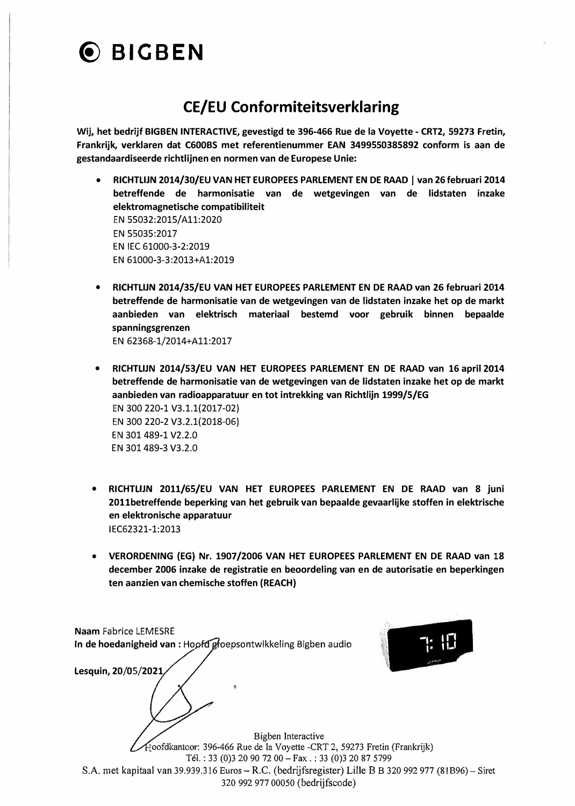# ® **BICBEN**

## **CE/EU Conformiteitsverklaring**

**Wij, het bedrijf BIGBEN INTERACTIVE, gevestigd te 396-466 Rue de la Voyette - CRT2, 59273 Fretin, Frankrijk, verklaren dat C600BS met referentienummer EAN 3499550385892 conform is aan de gestandaardiseerde richtlijnen en normen van de Europese Unie:** 

- **•** RICHTLIJN 2014/30/EU VAN HET EUROPEES PARLEMENT EN DE RAAD | van 26 februari 2014 **betreffende de harmonisatie van de wetgevingen van de lidstaten inzake elektromagnetische compatibiliteit EN 55032:2015/ All:2020 EN 55035:2017 EN IEC 61000-3-2:2019 EN 61000-3-3:2013+Al:2019**
- **• RICHTLIJN 2014/35/EU VAN HET EUROPEES PARLEMENT EN DE RAAD van 26 februari 2014 betreffende de harmonisatie van de wetgevingen van de lidstaten inzake het op de markt aanbieden van elektrisch materiaal bestemd voor gebruik binnen bepaalde spanningsgrenzen EN 62368-1/2014+A11:2017**
- **• RICHTLIJN 2014/53/EU VAN HET EUROPEES PARLEMENT EN DE RAAD van 16 april 2014 betreffende de harmonisatie van de wetgevingen van de lidstaten inzake het op de markt aanbieden van radioapparatuur en tot intrekking van Richtlijn 1999/5/EG EN 300 220-1 V3.1.1(2017-02) EN 300 220-2 V3.2.1(2018-06) EN 301 489-1 V2.2.0 EN 301 489-3 V3.2.0**
- **• RICHTLIJN 2011/65/EU VAN HET EUROPEES PARLEMENT EN DE RAAD van 8 juni 2011betreffende beperking van het gebruik van bepaalde gevaarlijke stoffen in elektrische en elektronische apparatuur 1 EC62321-1 :2013**
- **• VERORDENING (EG) Nr. 1907/2006 VAN HET EUROPEES PARLEMENT EN DE RAAD van 18 december 2006 inzake de registratie en beoordeling van en de autorisatie en beperkingen ten aanzien van chemische stoffen (REACH)**

| <b>Naam Fabrice LEMESRE</b>                                                                            |  |
|--------------------------------------------------------------------------------------------------------|--|
| In de hoedanigheid van : Hoofd groepsontwikkeling Bigben audio                                         |  |
|                                                                                                        |  |
| Lesquin, 20/05/2021                                                                                    |  |
| ٩                                                                                                      |  |
| Bigben Interactive                                                                                     |  |
| Hoofdkantoor: 396-466 Rue de la Voyette -CRT 2, 59273 Fretin (Frankrijk)                               |  |
| Tél.: 33 (0) 3 20 90 72 00 - Fax.: 33 (0) 3 20 87 5799                                                 |  |
| S.A. met kapitaal van 39.939.316 Euros – R.C. (bedrijfsregister) Lille B B 320 992 977 (81B96) – Siret |  |

320 992 977 00050 (bedrijfscode)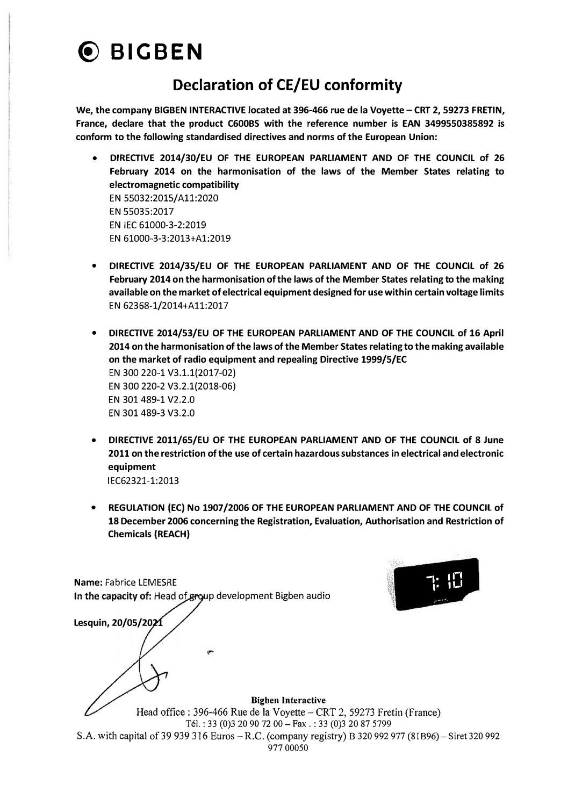

### **Declaration of CE/EU conformity**

**We, the company BIGBEN INTERACTIVE located at 396-466 rue de la Voyette - CRT 2, 59273 FRETIN, France, declare that the product C600BS with the reference number is EAN 3499550385892 is conform to the following standardised directives and norms of the European Union:** 

- **• DIRECTIVE 2014/30/EU OF THE EUROPEAN PARLIAMENT AND OF THE COUNCIL of 26 February 2014 on the harmonisation of the laws of the Member States relating to electromagnetic compatibility** EN 55032:2015/ All:2020 EN 55035:2017 EN IEC 61000-3-2:2019 EN 61000·3-3:2013+Al:2019
- **• DIRECTIVE 2014/35/EU OF THE EUROPEAN PARLIAMENT AND OF THE COUNCIL of 26** February 2014 on the harmonisation of the laws of the Member States relating to the making **available on the market of electrical equipment designed for use within certain voltage limits** EN 62368-1/2014+All:2017
- **• DIRECTIVE 2014/53/EU OF THE EUROPEAN PARLIAMENT AND OF THE COUNCIL of 16 April 2014 on the harmonisation of the laws of the Member States relating to the making available on the market of radio equipment and repealing Directive 1999/5/EC** EN 300 220-1 V3.1.1(2017-02) EN 300 220-2 V3.2.1(2018-06) EN 301 489-1 V2.2.0 EN 301489-3 V3.2.0
- **• DIRECTIVE 2011/65/EU OF THE EUROPEAN PARLIAMENT AND OF THE COUNCIL of 8 June 2011 on the restriction of the use of certain hazardous substances in electrical and electronic equipment** IEC62321-1:2013
- **• REGULATION (EC) No 1907/2006 OF THE EUROPEAN PARLIAMENT AND OF THE COUNCIL of 18 December 2006 concerning the Registration, Evaluation, Authorisation and Restriction of Chemicals (REACH)**

**Name: Fabrice LEMESRE** In the capacity of: Head of group development Bigben audio

**Lesquin, 20/05/2021** 



Bigben Interactive Head office: 396-466 Rue de la Voyette - CRT 2, 59273 Fretin (France) Tél. : 33 (0)3 20 90 72 00 - Fax . : 33 (0)3 20 87 5799 S.A. with capital of 39 939 316 Euros - R.C. (company registry) B 320 992 977 (81B96) - Siret 320 992 977 00050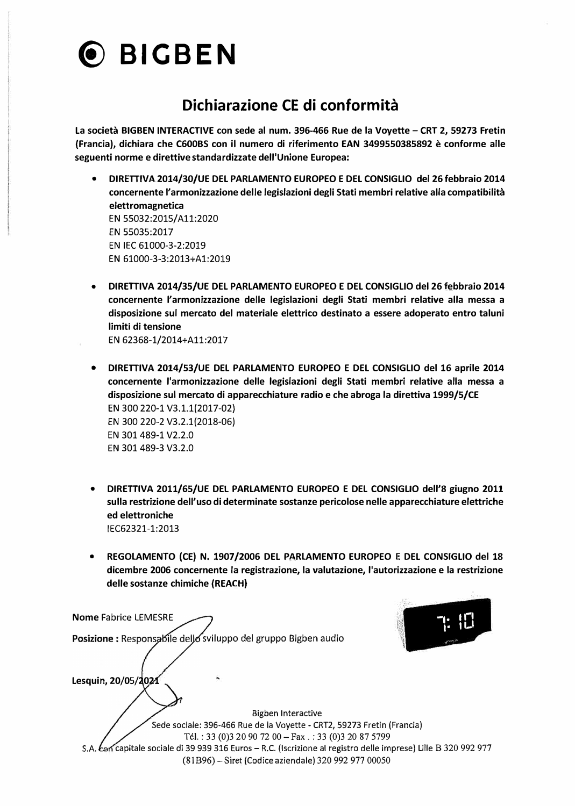

### **Dichiarazione CE di conformità**

**La società BIGBEN INTERACTIVE con sede al num. 396-466 Rue de la Voyette - CRT 2, 59273 Fretin (Francia), dichiara che C600BS con il numero di riferimento EAN 3499550385892 è conforme aile seguenti norme e direttive standardizzate dell'Unione Europea:** 

- **• DIRETTIVA 2014/30/UE DEL PARLAMENTO EUROPEO E DEL CONSIGLIO del 26 febbraio 2014 concernente l'armonizzazione delle legislazioni degli Stati membri relative alla compatibilità elettromagnetica EN 55032:2015/ All:2020 EN 55035:2017 EN IEC 61000-3-2:2019 EN 61000-3-3:2013+Al:2019**
- **• DIRETTIVA 2014/35/UE DEL PARLAMENTO EUROPEO E DEL CONSIGLIO del 26 febbraio 2014 concernente l'armonizzazione delle legislazioni degli Stati membri relative alla messa a disposizione sui mercato del materiale elettrico destinato a essere adoperato entro taluni limiti di tensione**

**EN 62368-1/2014+All:2017**

- **• DIRETTIVA 2014/53/UE DEL PARLAMENTO EUROPEO E DEL CONSIGLIO del 16 aprile 2014 concernente l'armonizzazione delle legislazioni degli Stati membri relative alla messa a disposizione sui mercato di apparecchiature radio e che abroga la direttiva 1999/5/CE EN 300 220-1 V3.1.1(2017-02) EN 300 220-2 V3.2.1(2018-06) EN 301489-1 V2.2.0 EN 301 489-3 V3.2.0**
- **• DIRETTIVA 2011/65/UE DEL PARLAMENTO EUROPEO E DEL CONSIGLIO dell'S giugno 2011 sulla restrizione dell'uso di determinate sostanze pericolose nelle apparecchiature elettriche ed elettroniche IEC62321-1:2013**
- **• REGOLAMENTO (CE) N. 1907/2006 DEL PARLAMENTO EUROPEO E DEL CONSIGLIO del 18 dicembre 2006 concernente la registrazione, la valutazione, l'autorizzazione e la restrizione delle sostanze chimiche (REACH)**

**Nome Fabrice LEMESRE 1· 11�<sup>1</sup> Lesquin, 20/05/2021**  S.A. *c*on capitale sociale di 39 939 316 Euros – R.C. (Iscrizione al registro delle imprese) Lille B 320 992 977 Posizione : Responsabile dello sviluppo del gruppo Bigben audio Bigben Interactive Sede sociale: 396-466 Rue de la Voyette - CRT2, 59273 Fretin (Francia) Tél. : 33 (0)3 20 90 72 00 - Fax . : 33 (0)3 20 87 5799 ,w�'" (81B96)- **Siret** (Codice aziendale) 320 992 977 00050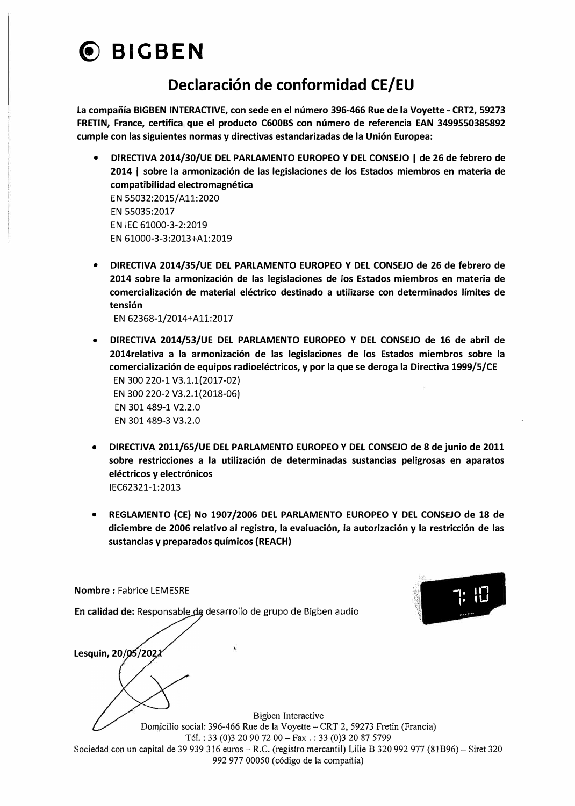

### **Declaraci6n de conformidad CE/EU**

**La compaiïia BIGBEN INTERACTIVE, con sede en el numero 396-466 Rue de la Voyette - CRT2, 59273 FRETIN, France, certifica que el producto C600BS con numero de referencia EAN 3499550385892 cumple con las siguientes normas y directivas estandarizadas de la Union Europea:** 

- **• DIRECTIVA 2014/30/UE DEL PARLAMENTO EUROPEO Y DEL CONSEJO** I **de 26 de febrero de 2014 1 sobre la armonizacion de las legislaciones de los Estados miembros en materia de compatibilidad electromagnética EN 55032:2015/ All:2020 EN 55035:2017 EN IEC 61000-3-2:2019 EN 61000-3-3:2013+A1:2019**
- **• DIRECTIVA 2014/35/UE DEL PARLAMENTO EUROPEO Y DEL CONSEJO de 26 de febrero de 2014 sobre la armonizacion de las legislaciones de los Estados miembros en materia de comercializacion de material eléctrico destinado a utilizarse con determinados limites de tension EN 62368-1/2014+A11:2017**
- **• DIRECTIVA 2014/53/UE DEL PARLAMENTO EUROPEO Y DEL CONSEJO de 16 de abril de 2014relativa a la armonizacion de Jas legislaciones de los Estados miembros sobre la comercializacion de equipos radioeléctricos, y por la que se deroga la Directiva 1999/5/CE EN 300 220-1 V3.1.1(2017-02) EN 300 220-2 V3.2.1(2018-06) EN 301489-1 V2.2.0 EN 301 489-3 V3.2.0**
- **• DIRECTIVA 2011/65/UE DEL PARLAMENTO EUROPEO Y DEL CONSEJO de 8 de junio de 2011 sobre restricciones a la utilizacion de determinadas sustancias peligrosas en aparatos eléctricos y electronicos IEC62321-1:2013**
- **• REGLAMENTO (CE) No 1907/2006 DEL PARLAMENTO EUROPEO Y DEL CONSEJO de 18 de diciembre de 2006 relativo al registra, la evaluacion, la autorizacion y la restriccion de las sustancias y preparados quimicos (REACH)**

 $T: \mathbb{E}$ mes av

**Lesquin, 20/05/2021 En calidad de:** Responsable de desarrollo de grupo de Bigben audio

**Nombre: Fabrice LEMESRE** 

Bigben Interactive Domicilio social: 396-466 Rue de la Voyette - CRT 2, 59273 Fretin (Francia) Tél. : 33 (0)3 20 90 72 00 - Fax . : 33 (0)3 20 87 5799 Sociedad con un capital de 39 939 316 euros - R.C. (registro mercantil) Lille B 320 992 977 (81B96) - Siret 320 992 977 00050 ( c6digo de la compafiia)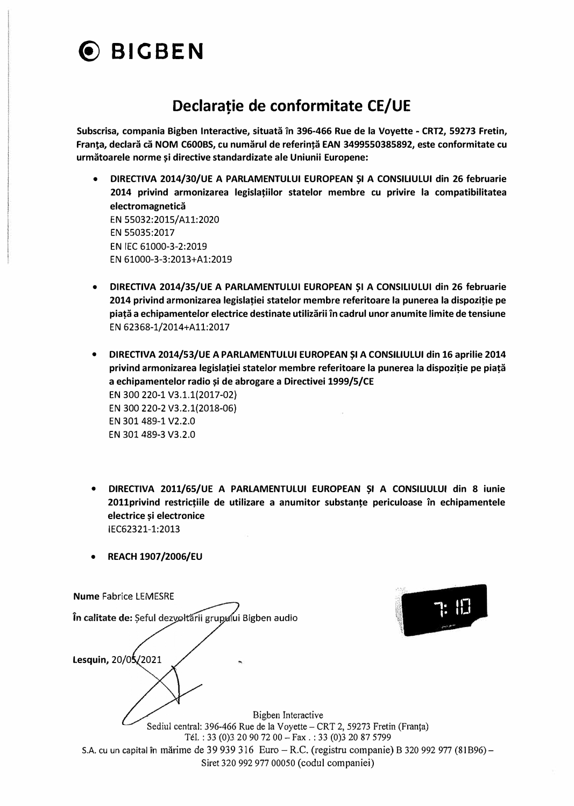## ® **BIGBEN**

## **Declaratie de conformitate CE/UE**

**Subscrisa, compania Bigben Interactive, situata în 396-466 Rue de la Voyette • CRT2, 59273 Fretin,**  Franța, declară că NOM C600BS, cu numărul de referință EAN 3499550385892, este conformitate cu **urmatoarele norme �i directive standardizate ale Uniunii Europene:** 

- **• DIRECTIVA 2014/30/UE A PARLAMENTULUI EUROPEAN �I A CONSILIULUI din 26 februarie 2014 privind armonizarea legislatiilor statelor membre eu privire la compatibilitatea electromagnetica EN 55032:2015/ All:2020 EN 55035:2017 EN IEC 61000-3-2:2019 EN 61000-3-3:2013+A1:2019**
- **• DIRECTIVA 2014/35/UE A PARLAMENTULUI EUROPEAN �I A CONSILIULUI din 26 februarie 2014 privind armonizarea legislatiei statelor membre referitoare la punerea la dispozitie pe piata a echipamentelor electrice destinate utilizarii în cadrul unor anumite limite de tensiune EN 62368-1/2014+A11:2017**
- **• DIRECTIVA 2014/53/UE A PARLAMENTULUI EUROPEAN �I A CONSILIULUI din 16 aprilie 2014 privind armonizarea legislatiei statelor membre referitoare la punerea la dispozitie pe piata a echipamentelor radio �i de abrogare a Directivei 1999/5/CE EN 300 220-1 V3.1.1(2017-02) EN 300 220-2 V3.2.1(2018-06) EN 301489-1 V2.2.0 EN 301 489-3 V3.2.0**
- **• DIRECTIVA 2011/65/UE A PARLAMENTULUI EUROPEAN �I A CONSILIULUI din 8 iunie 2011privind restrictiile de utilizare a anumitor substante periculoase în echipamentele electrice �i electronice IEC62321-1:2013**
- **• REACH 1907 /2006/EU**

| Sediul central: 396-466 Rue de la Voyette - CRT 2, 59273 Fretin (Franța)                            |
|-----------------------------------------------------------------------------------------------------|
| Tél.: 33 (0) 3 20 90 72 00 - Fax.: 33 (0) 3 20 87 5799                                              |
| S.A. cu un capital în mărime de 39 939 316 Euro – R.C. (registru companie) B 320 992 977 (81 B96) – |
|                                                                                                     |
|                                                                                                     |